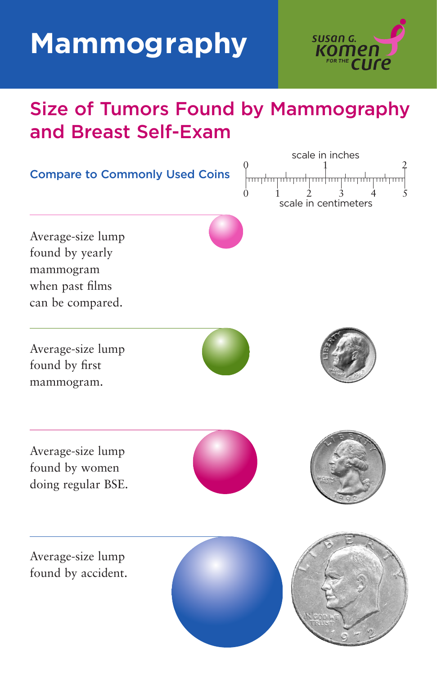# **Mammography**



# Size of Tumors Found by Mammography and Breast Self-Exam